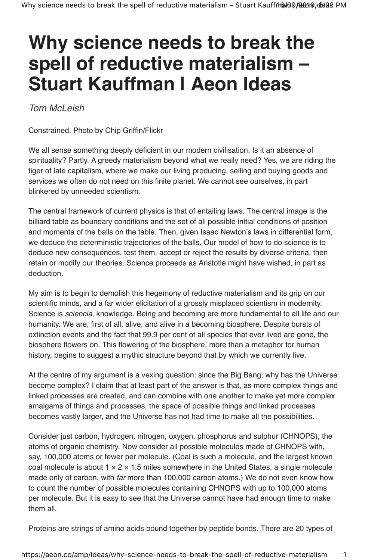## **Why science needs to break the spell of reductive materialism – Stuart Kauffman | Aeon Ideas**

Tom McLeish

Constrained. Photo by Chip Griffin/Flickr

We all sense something deeply deficient in our modern civilisation. Is it an absence of spirituality? Partly. A greedy materialism beyond what we really need? Yes, we are riding the tiger of late capitalism, where we make our living producing, selling and buying goods and services we often do not need on this finite planet. We cannot see ourselves, in part blinkered by unneeded scientism.

The central framework of current physics is that of entailing laws. The central image is the billiard table as boundary conditions and the set of all possible initial conditions of position and momenta of the balls on the table. Then, given Isaac Newton's laws in differential form, we deduce the deterministic trajectories of the balls. Our model of how to do science is to deduce new consequences, test them, accept or reject the results by diverse criteria, then retain or modify our theories. Science proceeds as Aristotle might have wished, in part as deduction.

My aim is to begin to demolish this hegemony of reductive materialism and its grip on our scientific minds, and a far wider elicitation of a grossly misplaced scientism in modernity. Science is *sciencia*, knowledge. Being and becoming are more fundamental to all life and our humanity. We are, first of all, alive, and alive in a becoming biosphere. Despite bursts of extinction events and the fact that 99.9 per cent of all species that ever lived are gone, the biosphere flowers on. This flowering of the biosphere, more than a metaphor for human history, begins to suggest a mythic structure beyond that by which we currently live.

At the centre of my argument is a vexing question: since the Big Bang, why has the Universe become complex? I claim that at least part of the answer is that, as more complex things and linked processes are created, and can combine with one another to make yet more complex amalgams of things and processes, the space of possible things and linked processes becomes vastly larger, and the Universe has not had time to make all the possibilities.

Consider just carbon, hydrogen, nitrogen, oxygen, phosphorus and sulphur (CHNOPS), the atoms of organic chemistry. Now consider all possible molecules made of CHNOPS with, say, 100,000 atoms or fewer per molecule. (Coal is such a molecule, and the largest known coal molecule is about  $1 \times 2 \times 1.5$  miles somewhere in the United States, a single molecule made only of carbon, with far more than 100,000 carbon atoms.) We do not even know how to count the number of possible molecules containing CHNOPS with up to 100,000 atoms per molecule. But it is easy to see that the Universe cannot have had enough time to make them all.

Proteins are strings of amino acids bound together by peptide bonds. There are 20 types of